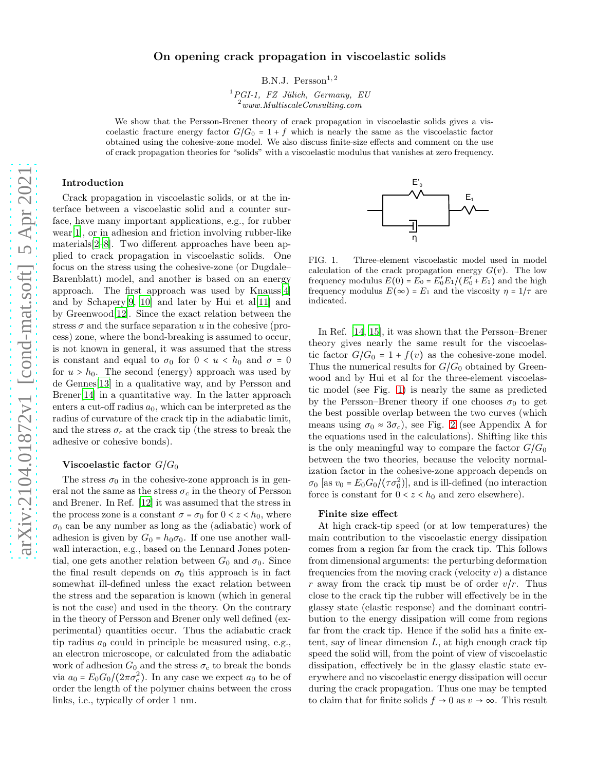# On opening crack propagation in viscoelastic solids

B.N.J.  $Persson<sup>1,2</sup>$ 

 ${}^{1}PGI-1$ , FZ Jülich, Germany, EU  $2$ www.MultiscaleConsulting.com

We show that the Persson-Brener theory of crack propagation in viscoelastic solids gives a viscoelastic fracture energy factor  $G/G_0 = 1 + f$  which is nearly the same as the viscoelastic factor obtained using the cohesive-zone model. We also discuss finite-size effects and comment on the use of crack propagation theories for "solids" with a viscoelastic modulus that vanishes at zero frequency.

## Introduction

Crack propagation in viscoelastic solids, or at the interface between a viscoelastic solid and a counter surface, have many important applications, e.g., for rubber wear[\[1\]](#page-3-0), or in adhesion and friction involving rubber-like materials[\[2](#page-3-1)[–8\]](#page-3-2). Two different approaches have been applied to crack propagation in viscoelastic solids. One focus on the stress using the cohesive-zone (or Dugdale– Barenblatt) model, and another is based on an energy approach. The first approach was used by Knauss[\[4\]](#page-3-3) and by Schapery $[9, 10]$  $[9, 10]$  $[9, 10]$  $[9, 10]$  and later by Hui et al $[11]$  and by Greenwood[\[12\]](#page-4-2). Since the exact relation between the stress  $\sigma$  and the surface separation u in the cohesive (process) zone, where the bond-breaking is assumed to occur, is not known in general, it was assumed that the stress is constant and equal to  $\sigma_0$  for  $0 < u < h_0$  and  $\sigma = 0$ for  $u > h_0$ . The second (energy) approach was used by de Gennes[\[13](#page-4-3)] in a qualitative way, and by Persson and Brener[\[14\]](#page-4-4) in a quantitative way. In the latter approach enters a cut-off radius  $a_0$ , which can be interpreted as the radius of curvature of the crack tip in the adiabatic limit, and the stress  $\sigma_c$  at the crack tip (the stress to break the adhesive or cohesive bonds).

## Viscoelastic factor  $G/G_0$

The stress  $\sigma_0$  in the cohesive-zone approach is in general not the same as the stress  $\sigma_c$  in the theory of Persson and Brener. In Ref. [\[12\]](#page-4-2) it was assumed that the stress in the process zone is a constant  $\sigma = \sigma_0$  for  $0 < z < h_0$ , where  $\sigma_0$  can be any number as long as the (adiabatic) work of adhesion is given by  $G_0 = h_0 \sigma_0$ . If one use another wallwall interaction, e.g., based on the Lennard Jones potential, one gets another relation between  $G_0$  and  $\sigma_0$ . Since the final result depends on  $\sigma_0$  this approach is in fact somewhat ill-defined unless the exact relation between the stress and the separation is known (which in general is not the case) and used in the theory. On the contrary in the theory of Persson and Brener only well defined (experimental) quantities occur. Thus the adiabatic crack tip radius  $a_0$  could in principle be measured using, e.g., an electron microscope, or calculated from the adiabatic work of adhesion  $G_0$  and the stress  $\sigma_c$  to break the bonds via  $a_0 = E_0 G_0 / (2\pi \sigma_c^2)$ . In any case we expect  $a_0$  to be of order the length of the polymer chains between the cross links, i.e., typically of order 1 nm.



<span id="page-0-0"></span>FIG. 1. Three-element viscoelastic model used in model calculation of the crack propagation energy  $G(v)$ . The low frequency modulus  $E(0) = E_0 = E'_0 E_1 / (E'_0 + E_1)$  and the high frequency modulus  $E(\infty) = E_1$  and the viscosity  $\eta = 1/\tau$  are indicated.

In Ref. [\[14,](#page-4-4) [15\]](#page-4-5), it was shown that the Persson–Brener theory gives nearly the same result for the viscoelastic factor  $G/G_0 = 1 + f(v)$  as the cohesive-zone model. Thus the numerical results for  $G/G_0$  obtained by Greenwood and by Hui et al for the three-element viscoelastic model (see Fig. [1\)](#page-0-0) is nearly the same as predicted by the Persson–Brener theory if one chooses  $\sigma_0$  to get the best possible overlap between the two curves (which means using  $\sigma_0 \approx 3\sigma_c$ ), see Fig. [2](#page-1-0) (see Appendix A for the equations used in the calculations). Shifting like this is the only meaningful way to compare the factor  $G/G_0$ between the two theories, because the velocity normalization factor in the cohesive-zone approach depends on  $\sigma_0$  [as  $v_0 = E_0 G_0 / (\tau \sigma_0^2)$ ], and is ill-defined (no interaction force is constant for  $0 < z < h_0$  and zero elsewhere).

#### Finite size effect

At high crack-tip speed (or at low temperatures) the main contribution to the viscoelastic energy dissipation comes from a region far from the crack tip. This follows from dimensional arguments: the perturbing deformation frequencies from the moving crack (velocity  $v$ ) a distance r away from the crack tip must be of order  $v/r$ . Thus close to the crack tip the rubber will effectively be in the glassy state (elastic response) and the dominant contribution to the energy dissipation will come from regions far from the crack tip. Hence if the solid has a finite extent, say of linear dimension  $L$ , at high enough crack tip speed the solid will, from the point of view of viscoelastic dissipation, effectively be in the glassy elastic state everywhere and no viscoelastic energy dissipation will occur during the crack propagation. Thus one may be tempted to claim that for finite solids  $f \to 0$  as  $v \to \infty$ . This result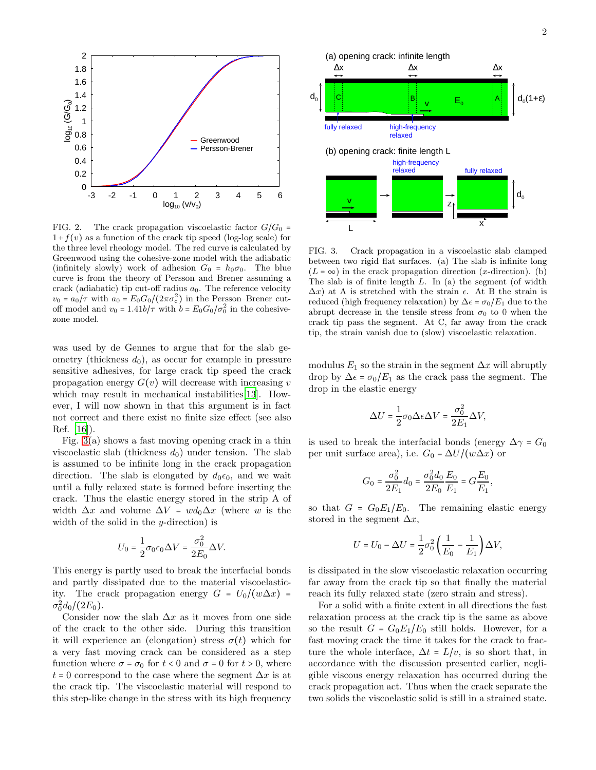

<span id="page-1-0"></span>FIG. 2. The crack propagation viscoelastic factor  $G/G_0$  =  $1+f(v)$  as a function of the crack tip speed (log-log scale) for the three level rheology model. The red curve is calculated by Greenwood using the cohesive-zone model with the adiabatic (infinitely slowly) work of adhesion  $G_0 = h_0 \sigma_0$ . The blue curve is from the theory of Persson and Brener assuming a crack (adiabatic) tip cut-off radius  $a_0$ . The reference velocity  $v_0 = a_0/\tau$  with  $a_0 = E_0 G_0/(2\pi\sigma_c^2)$  in the Persson–Brener cutoff model and  $v_0 = 1.41b/\tau$  with  $b = E_0 G_0/\sigma_0^2$  in the cohesivezone model.

was used by de Gennes to argue that for the slab geometry (thickness  $d_0$ ), as occur for example in pressure sensitive adhesives, for large crack tip speed the crack propagation energy  $G(v)$  will decrease with increasing v which may result in mechanical instabilities [\[13](#page-4-3)]. However, I will now shown in that this argument is in fact not correct and there exist no finite size effect (see also Ref. [\[16\]](#page-4-6)).

Fig. [3\(](#page-1-1)a) shows a fast moving opening crack in a thin viscoelastic slab (thickness  $d_0$ ) under tension. The slab is assumed to be infinite long in the crack propagation direction. The slab is elongated by  $d_0\epsilon_0$ , and we wait until a fully relaxed state is formed before inserting the crack. Thus the elastic energy stored in the strip A of width  $\Delta x$  and volume  $\Delta V = w d_0 \Delta x$  (where w is the width of the solid in the *y*-direction) is

$$
U_0=\frac{1}{2}\sigma_0\epsilon_0\Delta V=\frac{\sigma_0^2}{2E_0}\Delta V.
$$

This energy is partly used to break the interfacial bonds and partly dissipated due to the material viscoelasticity. The crack propagation energy  $G = U_0/(w\Delta x)$  =  $\sigma_0^2 d_0/(2E_0)$ .

Consider now the slab  $\Delta x$  as it moves from one side of the crack to the other side. During this transition it will experience an (elongation) stress  $\sigma(t)$  which for a very fast moving crack can be considered as a step function where  $\sigma = \sigma_0$  for  $t < 0$  and  $\sigma = 0$  for  $t > 0$ , where  $t = 0$  correspond to the case where the segment  $\Delta x$  is at the crack tip. The viscoelastic material will respond to this step-like change in the stress with its high frequency



<span id="page-1-1"></span>FIG. 3. Crack propagation in a viscoelastic slab clamped between two rigid flat surfaces. (a) The slab is infinite long  $(L = \infty)$  in the crack propagation direction (x-direction). (b) The slab is of finite length  $L$ . In (a) the segment (of width  $\Delta x$ ) at A is stretched with the strain  $\epsilon$ . At B the strain is reduced (high frequency relaxation) by  $\Delta \epsilon = \sigma_0/E_1$  due to the abrupt decrease in the tensile stress from  $\sigma_0$  to 0 when the crack tip pass the segment. At C, far away from the crack tip, the strain vanish due to (slow) viscoelastic relaxation.

modulus  $E_1$  so the strain in the segment  $\Delta x$  will abruptly drop by  $\Delta \epsilon = \sigma_0/E_1$  as the crack pass the segment. The drop in the elastic energy

$$
\Delta U = \frac{1}{2}\sigma_0 \Delta \epsilon \Delta V = \frac{\sigma_0^2}{2E_1} \Delta V,
$$

is used to break the interfacial bonds (energy  $\Delta \gamma = G_0$ per unit surface area), i.e.  $G_0 = \Delta U/(w\Delta x)$  or

$$
G_0 = \frac{\sigma_0^2}{2E_1} d_0 = \frac{\sigma_0^2 d_0}{2E_0} \frac{E_0}{E_1} = G \frac{E_0}{E_1},
$$

so that  $G = G_0 E_1/E_0$ . The remaining elastic energy stored in the segment  $\Delta x$ ,

$$
U = U_0 - \Delta U = \frac{1}{2}\sigma_0^2 \left(\frac{1}{E_0} - \frac{1}{E_1}\right) \Delta V,
$$

is dissipated in the slow viscoelastic relaxation occurring far away from the crack tip so that finally the material reach its fully relaxed state (zero strain and stress).

For a solid with a finite extent in all directions the fast relaxation process at the crack tip is the same as above so the result  $G = G_0 E_1/E_0$  still holds. However, for a fast moving crack the time it takes for the crack to fracture the whole interface,  $\Delta t = L/v$ , is so short that, in accordance with the discussion presented earlier, negligible viscous energy relaxation has occurred during the crack propagation act. Thus when the crack separate the two solids the viscoelastic solid is still in a strained state.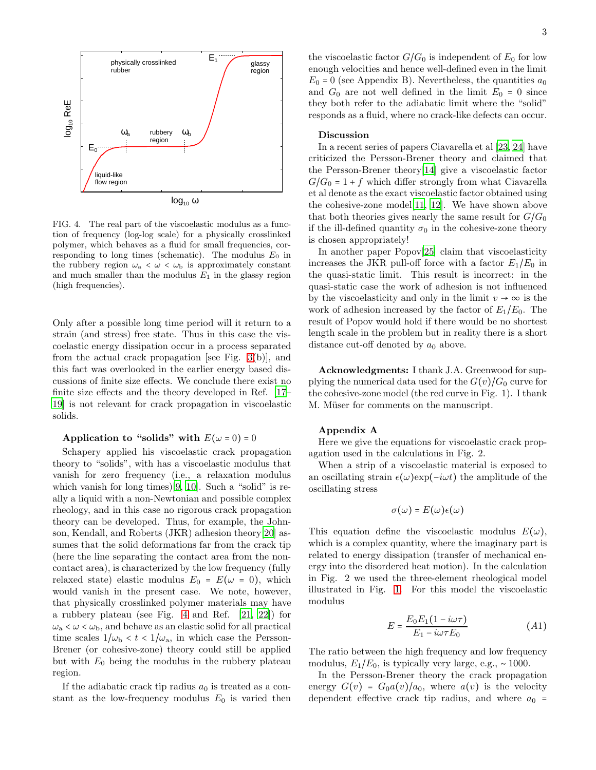

<span id="page-2-0"></span>FIG. 4. The real part of the viscoelastic modulus as a function of frequency (log-log scale) for a physically crosslinked polymer, which behaves as a fluid for small frequencies, corresponding to long times (schematic). The modulus  $E_0$  in the rubbery region  $\omega_a < \omega < \omega_b$  is approximately constant and much smaller than the modulus  $E_1$  in the glassy region (high frequencies).

Only after a possible long time period will it return to a strain (and stress) free state. Thus in this case the viscoelastic energy dissipation occur in a process separated from the actual crack propagation [see Fig. [3\(](#page-1-1)b)], and this fact was overlooked in the earlier energy based discussions of finite size effects. We conclude there exist no finite size effects and the theory developed in Ref. [\[17](#page-4-7)– [19\]](#page-4-8) is not relevant for crack propagation in viscoelastic solids.

## Application to "solids" with  $E(\omega = 0) = 0$

Schapery applied his viscoelastic crack propagation theory to "solids", with has a viscoelastic modulus that vanish for zero frequency (i.e., a relaxation modulus which vanish for long times)[\[9](#page-3-4), [10](#page-4-0)]. Such a "solid" is really a liquid with a non-Newtonian and possible complex rheology, and in this case no rigorous crack propagation theory can be developed. Thus, for example, the Johnson, Kendall, and Roberts (JKR) adhesion theory[\[20\]](#page-4-9) assumes that the solid deformations far from the crack tip (here the line separating the contact area from the noncontact area), is characterized by the low frequency (fully relaxed state) elastic modulus  $E_0 = E(\omega = 0)$ , which would vanish in the present case. We note, however, that physically crosslinked polymer materials may have a rubbery plateau (see Fig. [4](#page-2-0) and Ref. [\[21,](#page-4-10) [22\]](#page-4-11)) for  $\omega_{\rm a} < \omega < \omega_{\rm b}$ , and behave as an elastic solid for all practical time scales  $1/\omega_{\rm b} < t < 1/\omega_{\rm a}$ , in which case the Persson-Brener (or cohesive-zone) theory could still be applied but with  $E_0$  being the modulus in the rubbery plateau region.

If the adiabatic crack tip radius  $a_0$  is treated as a constant as the low-frequency modulus  $E_0$  is varied then the viscoelastic factor  $G/G_0$  is independent of  $E_0$  for low enough velocities and hence well-defined even in the limit  $E_0 = 0$  (see Appendix B). Nevertheless, the quantities  $a_0$ and  $G_0$  are not well defined in the limit  $E_0 = 0$  since they both refer to the adiabatic limit where the "solid" responds as a fluid, where no crack-like defects can occur.

#### Discussion

In a recent series of papers Ciavarella et al [\[23,](#page-4-12) [24](#page-4-13)] have criticized the Persson-Brener theory and claimed that the Persson-Brener theory[\[14\]](#page-4-4) give a viscoelastic factor  $G/G_0 = 1 + f$  which differ strongly from what Ciavarella et al denote as the exact viscoelastic factor obtained using the cohesive-zone model[\[11](#page-4-1), [12\]](#page-4-2). We have shown above that both theories gives nearly the same result for  $G/G_0$ if the ill-defined quantity  $\sigma_0$  in the cohesive-zone theory is chosen appropriately!

In another paper Popov[\[25\]](#page-4-14) claim that viscoelasticity increases the JKR pull-off force with a factor  $E_1/E_0$  in the quasi-static limit. This result is incorrect: in the quasi-static case the work of adhesion is not influenced by the viscoelasticity and only in the limit  $v \to \infty$  is the work of adhesion increased by the factor of  $E_1/E_0$ . The result of Popov would hold if there would be no shortest length scale in the problem but in reality there is a short distance cut-off denoted by  $a_0$  above.

Acknowledgments: I thank J.A. Greenwood for supplying the numerical data used for the  $G(v)/G_0$  curve for the cohesive-zone model (the red curve in Fig. 1). I thank M. Müser for comments on the manuscript.

### Appendix A

Here we give the equations for viscoelastic crack propagation used in the calculations in Fig. 2.

When a strip of a viscoelastic material is exposed to an oscillating strain  $\epsilon(\omega)$ exp( $-i\omega t$ ) the amplitude of the oscillating stress

$$
\sigma(\omega) = E(\omega)\epsilon(\omega)
$$

This equation define the viscoelastic modulus  $E(\omega)$ , which is a complex quantity, where the imaginary part is related to energy dissipation (transfer of mechanical energy into the disordered heat motion). In the calculation in Fig. 2 we used the three-element rheological model illustrated in Fig. [1.](#page-0-0) For this model the viscoelastic modulus

$$
E = \frac{E_0 E_1 (1 - i\omega \tau)}{E_1 - i\omega \tau E_0} \tag{A1}
$$

The ratio between the high frequency and low frequency modulus,  $E_1/E_0$ , is typically very large, e.g., ~ 1000.

In the Persson-Brener theory the crack propagation energy  $G(v) = G_0 a(v)/a_0$ , where  $a(v)$  is the velocity dependent effective crack tip radius, and where  $a_0$  =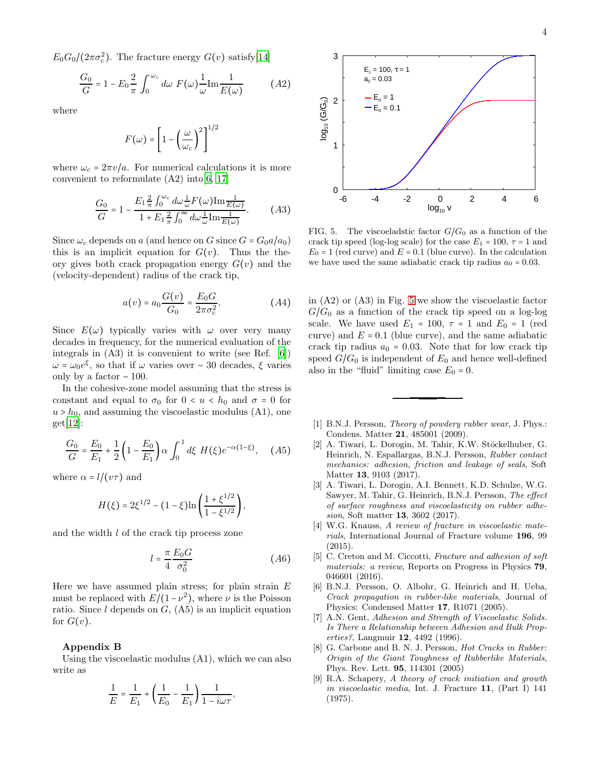$E_0 G_0 / (2\pi \sigma_{\rm c}^2)$ . The fracture energy  $G(v)$  satisfy[\[14\]](#page-4-4)

$$
\frac{G_0}{G} = 1 - E_0 \frac{2}{\pi} \int_0^{\omega_c} d\omega \ F(\omega) \frac{1}{\omega} \text{Im} \frac{1}{E(\omega)} \tag{A2}
$$

where

$$
F(\omega) = \left[1 - \left(\frac{\omega}{\omega_c}\right)^2\right]^{1/2}
$$

where  $\omega_c = 2\pi v/a$ . For numerical calculations it is more convenient to reformulate  $(A2)$  into  $[6, 17]$  $[6, 17]$ 

$$
\frac{G_0}{G} = 1 - \frac{E_1 \frac{2}{\pi} \int_0^{\omega_c} d\omega \frac{1}{\omega} F(\omega) \text{Im} \frac{1}{E(\omega)}}{1 + E_1 \frac{2}{\pi} \int_0^{\infty} d\omega \frac{1}{\omega} \text{Im} \frac{1}{E(\omega)}}.
$$
(A3)

Since  $\omega_c$  depends on a (and hence on G since  $G = G_0 a/a_0$ ) this is an implicit equation for  $G(v)$ . Thus the theory gives both crack propagation energy  $G(v)$  and the (velocity-dependent) radius of the crack tip,

$$
a(v) = a_0 \frac{G(v)}{G_0} = \frac{E_0 G}{2\pi \sigma_c^2}.
$$
 (A4)

Since  $E(\omega)$  typically varies with  $\omega$  over very many decades in frequency, for the numerical evaluation of the integrals in (A3) it is convenient to write (see Ref. [\[6](#page-3-5)])  $\omega = \omega_0 e^{\xi}$ , so that if  $\omega$  varies over ~ 30 decades,  $\xi$  varies only by a factor  $~\sim 100$ .

In the cohesive-zone model assuming that the stress is constant and equal to  $\sigma_0$  for  $0 < u < h_0$  and  $\sigma = 0$  for  $u > h_0$ , and assuming the viscoelastic modulus (A1), one get[\[12](#page-4-2)]:

$$
\frac{G_0}{G} = \frac{E_0}{E_1} + \frac{1}{2} \left( 1 - \frac{E_0}{E_1} \right) \alpha \int_0^1 d\xi \ H(\xi) e^{-\alpha (1 - \xi)}, \quad (A5)
$$

where  $\alpha = l/(v\tau)$  and

$$
H(\xi) = 2\xi^{1/2} - (1 - \xi) \ln \left( \frac{1 + \xi^{1/2}}{1 - \xi^{1/2}} \right),
$$

and the width l of the crack tip process zone

$$
l = \frac{\pi}{4} \frac{E_0 G}{\sigma_0^2} \tag{A6}
$$

Here we have assumed plain stress; for plain strain  $E$ must be replaced with  $E/(1-\nu^2)$ , where  $\nu$  is the Poisson ratio. Since  $l$  depends on  $G$ ,  $(A5)$  is an implicit equation for  $G(v)$ .

## Appendix B

Using the viscoelastic modulus (A1), which we can also write as

$$
\frac{1}{E} = \frac{1}{E_1} + \left(\frac{1}{E_0} - \frac{1}{E_1}\right) \frac{1}{1 - i\omega\tau},
$$



<span id="page-3-6"></span>FIG. 5. The viscoeladstic factor  $G/G_0$  as a function of the crack tip speed (log-log scale) for the case  $E_1 = 100$ ,  $\tau = 1$  and  $E_0 = 1$  (red curve) and  $E = 0.1$  (blue curve). In the calculation we have used the same adiabatic crack tip radius  $a_0 = 0.03$ .

in (A2) or (A3) in Fig. [5](#page-3-6) we show the viscoelastic factor  $G/G_0$  as a function of the crack tip speed on a log-log scale. We have used  $E_1 = 100$ ,  $\tau = 1$  and  $E_0 = 1$  (red curve) and  $E = 0.1$  (blue curve), and the same adiabatic crack tip radius  $a_0 = 0.03$ . Note that for low crack tip speed  $G/G_0$  is independent of  $E_0$  and hence well-defined also in the "fluid" limiting case  $E_0 = 0$ .

- <span id="page-3-0"></span>[1] B.N.J. Persson, Theory of powdery rubber wear, J. Phys.: Condens. Matter 21, 485001 (2009).
- <span id="page-3-1"></span>[2] A. Tiwari, L. Dorogin, M. Tahir, K.W. Stöckelhuber, G. Heinrich, N. Espallargas, B.N.J. Persson, Rubber contact mechanics: adhesion, friction and leakage of seals, Soft Matter 13, 9103 (2017).
- [3] A. Tiwari, L. Dorogin, A.I. Bennett, K.D. Schulze, W.G. Sawyer, M. Tahir, G. Heinrich, B.N.J. Persson, The effect of surface roughness and viscoelasticity on rubber adhesion, Soft matter 13, 3602 (2017).
- <span id="page-3-3"></span>[4] W.G. Knauss, A review of fracture in viscoelastic materials, International Journal of Fracture volume 196, 99 (2015).
- [5] C. Creton and M. Ciccotti, Fracture and adhesion of soft materials: a review, Reports on Progress in Physics 79, 046601 (2016).
- <span id="page-3-5"></span>[6] B.N.J. Persson, O. Albohr, G. Heinrich and H. Ueba, Crack propagation in rubber-like materials, Journal of Physics: Condensed Matter 17, R1071 (2005).
- [7] A.N. Gent, Adhesion and Strength of Viscoelastic Solids. Is There a Relationship between Adhesion and Bulk Properties?, Langmuir 12, 4492 (1996).
- <span id="page-3-2"></span>[8] G. Carbone and B. N. J. Persson, *Hot Cracks in Rubber:* Origin of the Giant Toughness of Rubberlike Materials, Phys. Rev. Lett. 95, 114301 (2005)
- <span id="page-3-4"></span>[9] R.A. Schapery, A theory of crack initiation and growth in viscoelastic media, Int. J. Fracture 11, (Part I) 141 (1975).